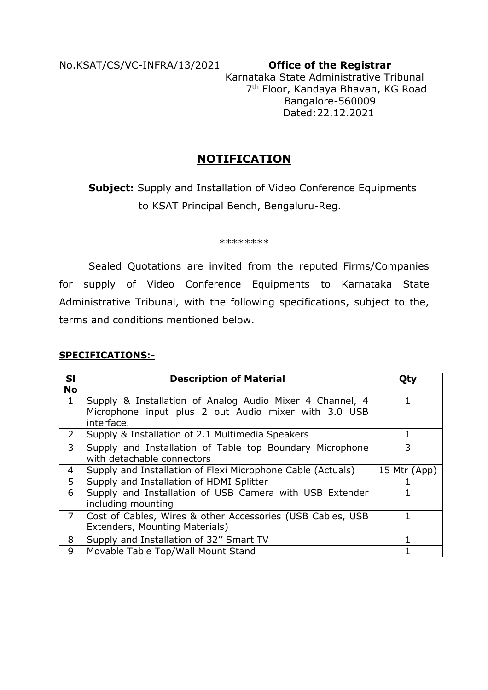No.KSAT/CS/VC-INFRA/13/2021 **Office of the Registrar**

 Karnataka State Administrative Tribunal 7th Floor, Kandaya Bhavan, KG Road Bangalore-560009 Dated:22.12.2021

# **NOTIFICATION**

**Subject:** Supply and Installation of Video Conference Equipments to KSAT Principal Bench, Bengaluru-Reg.

\*\*\*\*\*\*\*\*

 Sealed Quotations are invited from the reputed Firms/Companies for supply of Video Conference Equipments to Karnataka State Administrative Tribunal, with the following specifications, subject to the, terms and conditions mentioned below.

#### **SPECIFICATIONS:-**

| <b>SI</b><br><b>No</b>    | <b>Description of Material</b>                                                                                                 | Qty          |
|---------------------------|--------------------------------------------------------------------------------------------------------------------------------|--------------|
| $\mathbf{1}$              | Supply & Installation of Analog Audio Mixer 4 Channel, 4<br>Microphone input plus 2 out Audio mixer with 3.0 USB<br>interface. |              |
| $\mathbf{2}^{\mathsf{I}}$ | Supply & Installation of 2.1 Multimedia Speakers                                                                               |              |
| 3                         | Supply and Installation of Table top Boundary Microphone<br>with detachable connectors                                         | 3            |
| 4                         | Supply and Installation of Flexi Microphone Cable (Actuals)                                                                    | 15 Mtr (App) |
| 5                         | Supply and Installation of HDMI Splitter                                                                                       |              |
| 6                         | Supply and Installation of USB Camera with USB Extender<br>including mounting                                                  |              |
| $\overline{7}$            | Cost of Cables, Wires & other Accessories (USB Cables, USB<br>Extenders, Mounting Materials)                                   |              |
| 8                         | Supply and Installation of 32" Smart TV                                                                                        |              |
| 9                         | Movable Table Top/Wall Mount Stand                                                                                             |              |